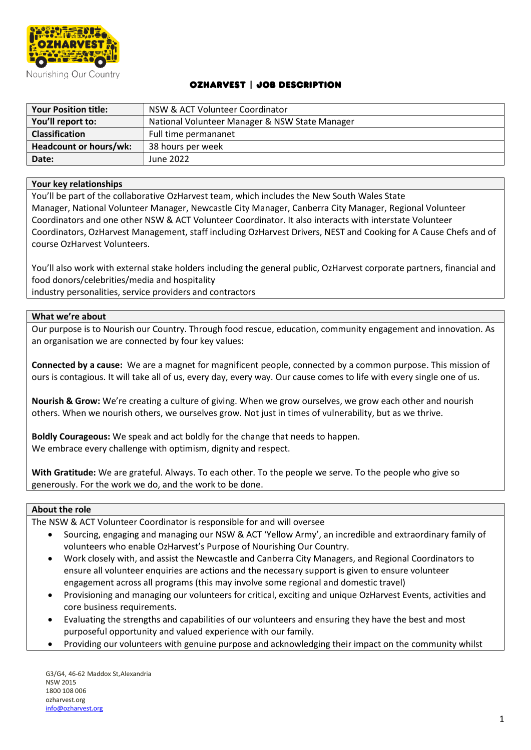

# OzHarvest | Job Description

| <b>Your Position title:</b> | NSW & ACT Volunteer Coordinator                |
|-----------------------------|------------------------------------------------|
| You'll report to:           | National Volunteer Manager & NSW State Manager |
| Classification              | Full time permananet                           |
| Headcount or hours/wk:      | 38 hours per week                              |
| Date:                       | June 2022                                      |

### **Your key relationships**

You'll be part of the collaborative OzHarvest team, which includes the New South Wales State Manager, National Volunteer Manager, Newcastle City Manager, Canberra City Manager, Regional Volunteer Coordinators and one other NSW & ACT Volunteer Coordinator. It also interacts with interstate Volunteer Coordinators, OzHarvest Management, staff including OzHarvest Drivers, NEST and Cooking for A Cause Chefs and of course OzHarvest Volunteers.

You'll also work with external stake holders including the general public, OzHarvest corporate partners, financial and food donors/celebrities/media and hospitality

industry personalities, service providers and contractors

### **What we're about**

Our purpose is to Nourish our Country. Through food rescue, education, community engagement and innovation. As an organisation we are connected by four key values:

**Connected by a cause:** We are a magnet for magnificent people, connected by a common purpose. This mission of ours is contagious. It will take all of us, every day, every way. Our cause comes to life with every single one of us.

**Nourish & Grow:** We're creating a culture of giving. When we grow ourselves, we grow each other and nourish others. When we nourish others, we ourselves grow. Not just in times of vulnerability, but as we thrive.

**Boldly Courageous:** We speak and act boldly for the change that needs to happen. We embrace every challenge with optimism, dignity and respect.

**With Gratitude:** We are grateful. Always. To each other. To the people we serve. To the people who give so generously. For the work we do, and the work to be done.

#### **About the role**

The NSW & ACT Volunteer Coordinator is responsible for and will oversee

- Sourcing, engaging and managing our NSW & ACT 'Yellow Army', an incredible and extraordinary family of volunteers who enable OzHarvest's Purpose of Nourishing Our Country.
- Work closely with, and assist the Newcastle and Canberra City Managers, and Regional Coordinators to ensure all volunteer enquiries are actions and the necessary support is given to ensure volunteer engagement across all programs (this may involve some regional and domestic travel)
- Provisioning and managing our volunteers for critical, exciting and unique OzHarvest Events, activities and core business requirements.
- Evaluating the strengths and capabilities of our volunteers and ensuring they have the best and most purposeful opportunity and valued experience with our family.
- Providing our volunteers with genuine purpose and acknowledging their impact on the community whilst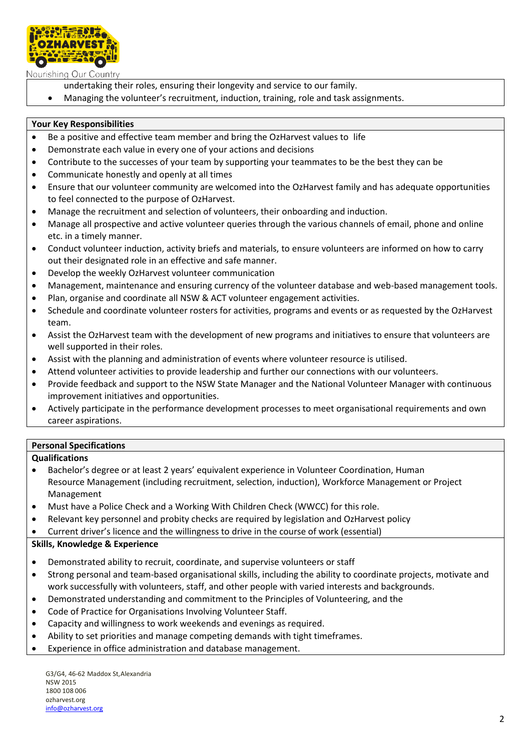

Nourishing Our Country

- undertaking their roles, ensuring their longevity and service to our family.
- Managing the volunteer's recruitment, induction, training, role and task assignments.

## **Your Key Responsibilities**

- Be a positive and effective team member and bring the OzHarvest values to life
- Demonstrate each value in every one of your actions and decisions
- Contribute to the successes of your team by supporting your teammates to be the best they can be
- Communicate honestly and openly at all times
- Ensure that our volunteer community are welcomed into the OzHarvest family and has adequate opportunities to feel connected to the purpose of OzHarvest.
- Manage the recruitment and selection of volunteers, their onboarding and induction.
- Manage all prospective and active volunteer queries through the various channels of email, phone and online etc. in a timely manner.
- Conduct volunteer induction, activity briefs and materials, to ensure volunteers are informed on how to carry out their designated role in an effective and safe manner.
- Develop the weekly OzHarvest volunteer communication
- Management, maintenance and ensuring currency of the volunteer database and web-based management tools.
- Plan, organise and coordinate all NSW & ACT volunteer engagement activities.
- Schedule and coordinate volunteer rosters for activities, programs and events or as requested by the OzHarvest team.
- Assist the OzHarvest team with the development of new programs and initiatives to ensure that volunteers are well supported in their roles.
- Assist with the planning and administration of events where volunteer resource is utilised.
- Attend volunteer activities to provide leadership and further our connections with our volunteers.
- Provide feedback and support to the NSW State Manager and the National Volunteer Manager with continuous improvement initiatives and opportunities.
- Actively participate in the performance development processes to meet organisational requirements and own career aspirations.

## **Personal Specifications**

### **Qualifications**

- Bachelor's degree or at least 2 years' equivalent experience in Volunteer Coordination, Human Resource Management (including recruitment, selection, induction), Workforce Management or Project Management
- Must have a Police Check and a Working With Children Check (WWCC) for this role.
- Relevant key personnel and probity checks are required by legislation and OzHarvest policy
- Current driver's licence and the willingness to drive in the course of work (essential)

## **Skills, Knowledge & Experience**

- Demonstrated ability to recruit, coordinate, and supervise volunteers or staff
- Strong personal and team-based organisational skills, including the ability to coordinate projects, motivate and work successfully with volunteers, staff, and other people with varied interests and backgrounds.
- Demonstrated understanding and commitment to the Principles of Volunteering, and the
- Code of Practice for Organisations Involving Volunteer Staff.
- Capacity and willingness to work weekends and evenings as required.
- Ability to set priorities and manage competing demands with tight timeframes.
- Experience in office administration and database management.